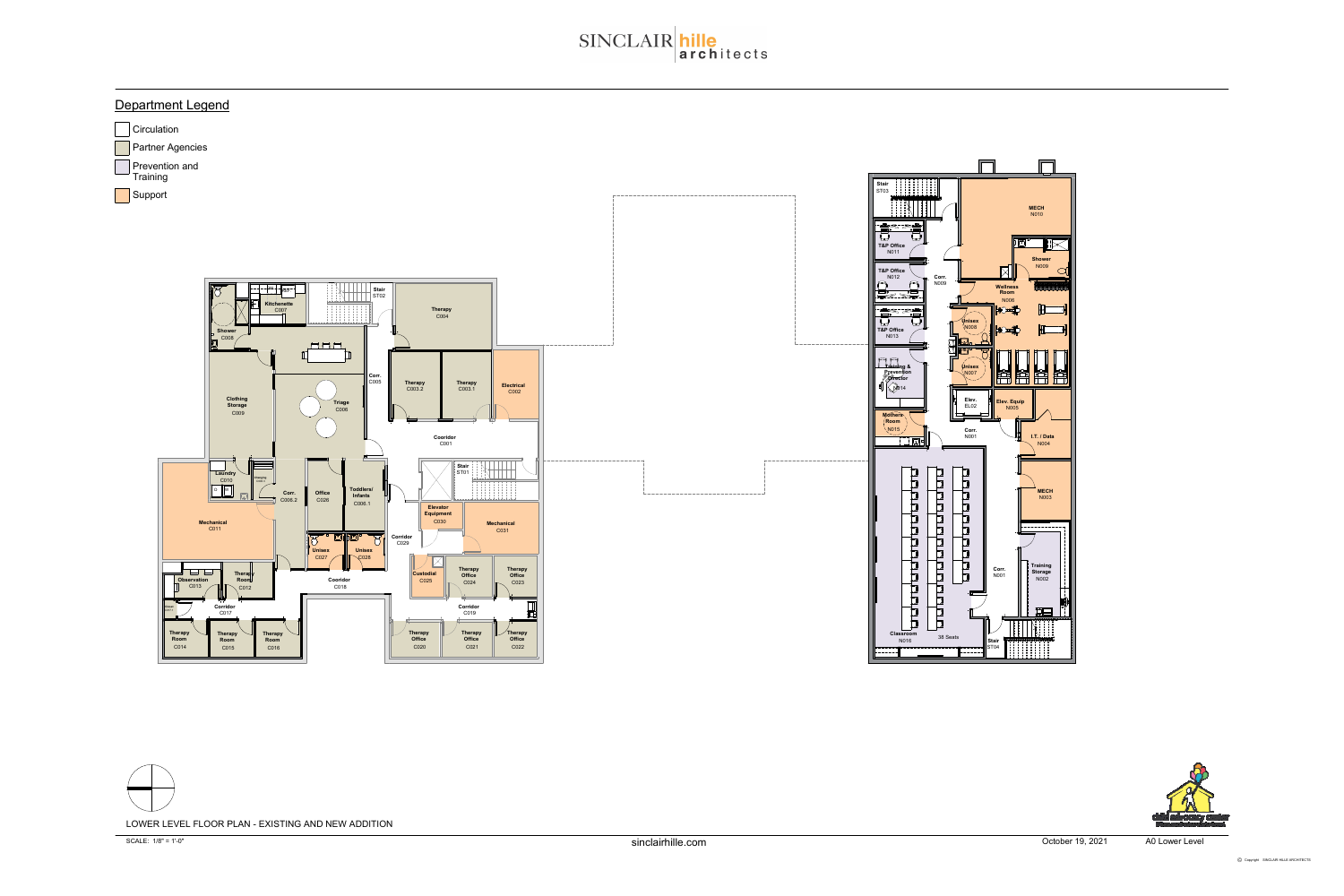### Department Legend







October 19, 2021 A0 Lower Level



# SINCLAIR hille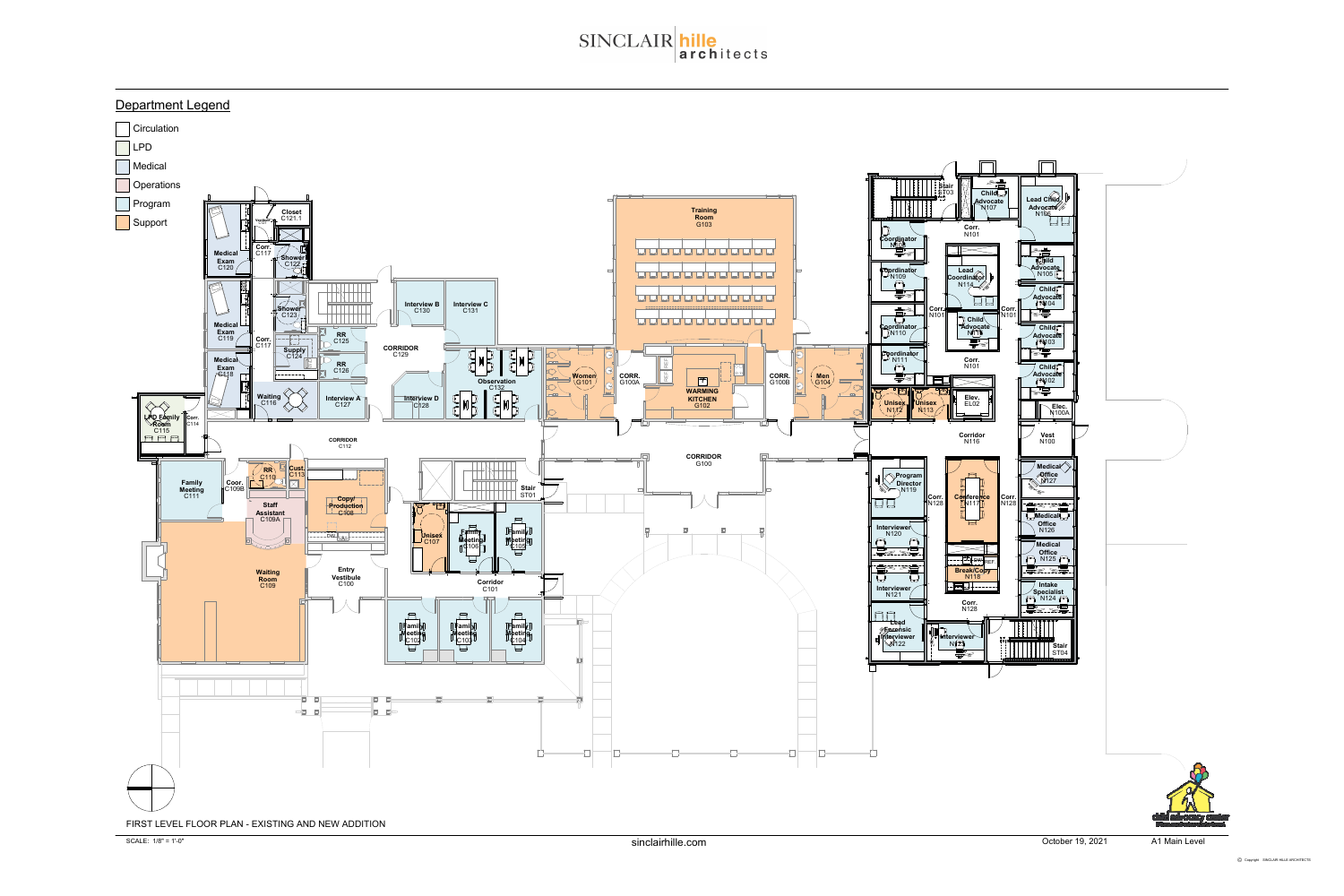### Department Legend



# SINCLAIR hille<br>architects